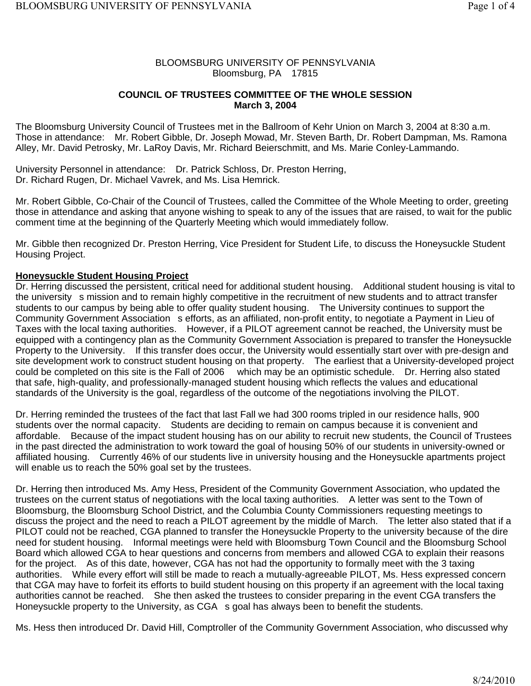# BLOOMSBURG UNIVERSITY OF PENNSYLVANIA Bloomsburg, PA 17815

# **COUNCIL OF TRUSTEES COMMITTEE OF THE WHOLE SESSION March 3, 2004**

The Bloomsburg University Council of Trustees met in the Ballroom of Kehr Union on March 3, 2004 at 8:30 a.m. Those in attendance: Mr. Robert Gibble, Dr. Joseph Mowad, Mr. Steven Barth, Dr. Robert Dampman, Ms. Ramona Alley, Mr. David Petrosky, Mr. LaRoy Davis, Mr. Richard Beierschmitt, and Ms. Marie Conley-Lammando.

University Personnel in attendance: Dr. Patrick Schloss, Dr. Preston Herring, Dr. Richard Rugen, Dr. Michael Vavrek, and Ms. Lisa Hemrick.

Mr. Robert Gibble, Co-Chair of the Council of Trustees, called the Committee of the Whole Meeting to order, greeting those in attendance and asking that anyone wishing to speak to any of the issues that are raised, to wait for the public comment time at the beginning of the Quarterly Meeting which would immediately follow.

Mr. Gibble then recognized Dr. Preston Herring, Vice President for Student Life, to discuss the Honeysuckle Student Housing Project.

# **Honeysuckle Student Housing Project**

Dr. Herring discussed the persistent, critical need for additional student housing. Additional student housing is vital to the university s mission and to remain highly competitive in the recruitment of new students and to attract transfer students to our campus by being able to offer quality student housing. The University continues to support the Community Government Association s efforts, as an affiliated, non-profit entity, to negotiate a Payment in Lieu of Taxes with the local taxing authorities. However, if a PILOT agreement cannot be reached, the University must be equipped with a contingency plan as the Community Government Association is prepared to transfer the Honeysuckle Property to the University. If this transfer does occur, the University would essentially start over with pre-design and site development work to construct student housing on that property. The earliest that a University-developed project could be completed on this site is the Fall of 2006 which may be an optimistic schedule. Dr. Herring also stated that safe, high-quality, and professionally-managed student housing which reflects the values and educational standards of the University is the goal, regardless of the outcome of the negotiations involving the PILOT.

Dr. Herring reminded the trustees of the fact that last Fall we had 300 rooms tripled in our residence halls, 900 students over the normal capacity. Students are deciding to remain on campus because it is convenient and affordable. Because of the impact student housing has on our ability to recruit new students, the Council of Trustees in the past directed the administration to work toward the goal of housing 50% of our students in university-owned or affiliated housing. Currently 46% of our students live in university housing and the Honeysuckle apartments project will enable us to reach the 50% goal set by the trustees.

Dr. Herring then introduced Ms. Amy Hess, President of the Community Government Association, who updated the trustees on the current status of negotiations with the local taxing authorities. A letter was sent to the Town of Bloomsburg, the Bloomsburg School District, and the Columbia County Commissioners requesting meetings to discuss the project and the need to reach a PILOT agreement by the middle of March. The letter also stated that if a PILOT could not be reached, CGA planned to transfer the Honeysuckle Property to the university because of the dire need for student housing. Informal meetings were held with Bloomsburg Town Council and the Bloomsburg School Board which allowed CGA to hear questions and concerns from members and allowed CGA to explain their reasons for the project. As of this date, however, CGA has not had the opportunity to formally meet with the 3 taxing authorities. While every effort will still be made to reach a mutually-agreeable PILOT, Ms. Hess expressed concern that CGA may have to forfeit its efforts to build student housing on this property if an agreement with the local taxing authorities cannot be reached. She then asked the trustees to consider preparing in the event CGA transfers the Honeysuckle property to the University, as CGA s goal has always been to benefit the students.

Ms. Hess then introduced Dr. David Hill, Comptroller of the Community Government Association, who discussed why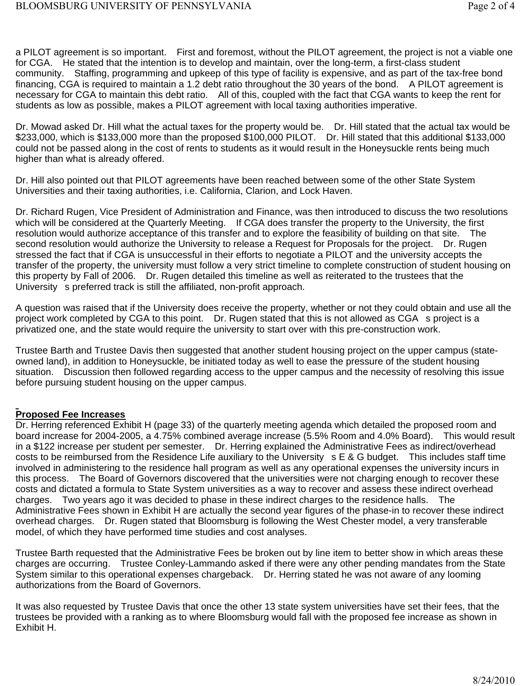a PILOT agreement is so important. First and foremost, without the PILOT agreement, the project is not a viable one for CGA. He stated that the intention is to develop and maintain, over the long-term, a first-class student community. Staffing, programming and upkeep of this type of facility is expensive, and as part of the tax-free bond financing, CGA is required to maintain a 1.2 debt ratio throughout the 30 years of the bond. A PILOT agreement is necessary for CGA to maintain this debt ratio. All of this, coupled with the fact that CGA wants to keep the rent for students as low as possible, makes a PILOT agreement with local taxing authorities imperative.

Dr. Mowad asked Dr. Hill what the actual taxes for the property would be. Dr. Hill stated that the actual tax would be \$233,000, which is \$133,000 more than the proposed \$100,000 PILOT. Dr. Hill stated that this additional \$133,000 could not be passed along in the cost of rents to students as it would result in the Honeysuckle rents being much higher than what is already offered.

Dr. Hill also pointed out that PILOT agreements have been reached between some of the other State System Universities and their taxing authorities, i.e. California, Clarion, and Lock Haven.

Dr. Richard Rugen, Vice President of Administration and Finance, was then introduced to discuss the two resolutions which will be considered at the Quarterly Meeting. If CGA does transfer the property to the University, the first resolution would authorize acceptance of this transfer and to explore the feasibility of building on that site. The second resolution would authorize the University to release a Request for Proposals for the project. Dr. Rugen stressed the fact that if CGA is unsuccessful in their efforts to negotiate a PILOT and the university accepts the transfer of the property, the university must follow a very strict timeline to complete construction of student housing on this property by Fall of 2006. Dr. Rugen detailed this timeline as well as reiterated to the trustees that the University s preferred track is still the affiliated, non-profit approach.

A question was raised that if the University does receive the property, whether or not they could obtain and use all the project work completed by CGA to this point. Dr. Rugen stated that this is not allowed as CGA s project is a privatized one, and the state would require the university to start over with this pre-construction work.

Trustee Barth and Trustee Davis then suggested that another student housing project on the upper campus (stateowned land), in addition to Honeysuckle, be initiated today as well to ease the pressure of the student housing situation. Discussion then followed regarding access to the upper campus and the necessity of resolving this issue before pursuing student housing on the upper campus.

# **Proposed Fee Increases**

Dr. Herring referenced Exhibit H (page 33) of the quarterly meeting agenda which detailed the proposed room and board increase for 2004-2005, a 4.75% combined average increase (5.5% Room and 4.0% Board). This would result in a \$122 increase per student per semester. Dr. Herring explained the Administrative Fees as indirect/overhead costs to be reimbursed from the Residence Life auxiliary to the University s E & G budget. This includes staff time involved in administering to the residence hall program as well as any operational expenses the university incurs in this process. The Board of Governors discovered that the universities were not charging enough to recover these costs and dictated a formula to State System universities as a way to recover and assess these indirect overhead charges. Two years ago it was decided to phase in these indirect charges to the residence halls. The Administrative Fees shown in Exhibit H are actually the second year figures of the phase-in to recover these indirect overhead charges. Dr. Rugen stated that Bloomsburg is following the West Chester model, a very transferable model, of which they have performed time studies and cost analyses.

Trustee Barth requested that the Administrative Fees be broken out by line item to better show in which areas these charges are occurring. Trustee Conley-Lammando asked if there were any other pending mandates from the State System similar to this operational expenses chargeback. Dr. Herring stated he was not aware of any looming authorizations from the Board of Governors.

It was also requested by Trustee Davis that once the other 13 state system universities have set their fees, that the trustees be provided with a ranking as to where Bloomsburg would fall with the proposed fee increase as shown in Exhibit H.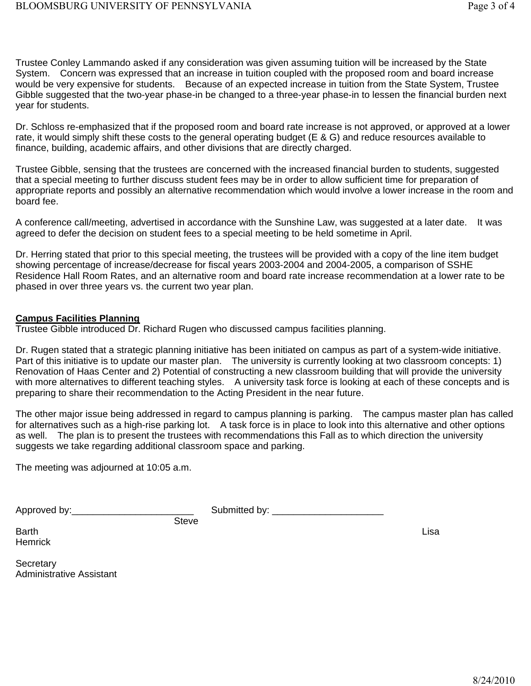Trustee Conley Lammando asked if any consideration was given assuming tuition will be increased by the State System. Concern was expressed that an increase in tuition coupled with the proposed room and board increase would be very expensive for students. Because of an expected increase in tuition from the State System, Trustee Gibble suggested that the two-year phase-in be changed to a three-year phase-in to lessen the financial burden next year for students.

Dr. Schloss re-emphasized that if the proposed room and board rate increase is not approved, or approved at a lower rate, it would simply shift these costs to the general operating budget (E & G) and reduce resources available to finance, building, academic affairs, and other divisions that are directly charged.

Trustee Gibble, sensing that the trustees are concerned with the increased financial burden to students, suggested that a special meeting to further discuss student fees may be in order to allow sufficient time for preparation of appropriate reports and possibly an alternative recommendation which would involve a lower increase in the room and board fee.

A conference call/meeting, advertised in accordance with the Sunshine Law, was suggested at a later date. It was agreed to defer the decision on student fees to a special meeting to be held sometime in April.

Dr. Herring stated that prior to this special meeting, the trustees will be provided with a copy of the line item budget showing percentage of increase/decrease for fiscal years 2003-2004 and 2004-2005, a comparison of SSHE Residence Hall Room Rates, and an alternative room and board rate increase recommendation at a lower rate to be phased in over three years vs. the current two year plan.

# **Campus Facilities Planning**

Trustee Gibble introduced Dr. Richard Rugen who discussed campus facilities planning.

Dr. Rugen stated that a strategic planning initiative has been initiated on campus as part of a system-wide initiative. Part of this initiative is to update our master plan. The university is currently looking at two classroom concepts: 1) Renovation of Haas Center and 2) Potential of constructing a new classroom building that will provide the university with more alternatives to different teaching styles. A university task force is looking at each of these concepts and is preparing to share their recommendation to the Acting President in the near future.

The other major issue being addressed in regard to campus planning is parking. The campus master plan has called for alternatives such as a high-rise parking lot. A task force is in place to look into this alternative and other options as well. The plan is to present the trustees with recommendations this Fall as to which direction the university suggests we take regarding additional classroom space and parking.

The meeting was adjourned at 10:05 a.m.

Approved by:\_\_\_\_\_\_\_\_\_\_\_\_\_\_\_\_\_\_\_\_\_\_\_ Submitted by: \_\_\_\_\_\_\_\_\_\_\_\_\_\_\_\_\_\_\_\_\_

Barth **Example 2018 Lisa Hemrick** 

**Steve** 

Secretary **Secretary** and the secretary of the secretary and the secretary of the secretary of the secretary of the secretary of the secretary of the secretary of the secretary of the secretary of the secretary of the secr Administrative Assistant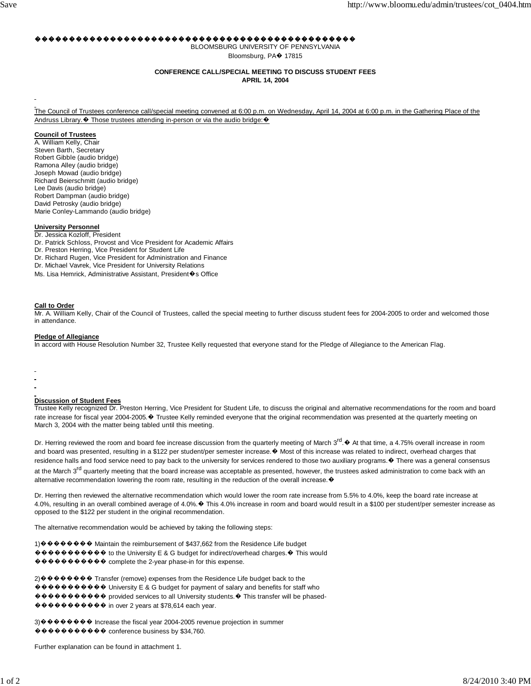#### ,,,,,,,,,,,,,,,,,,

BLOOMSBURG UNIVERSITY OF PENNSYLVANIA Bloomsburg, PA+ 17815

#### **CONFERENCE CALL/SPECIAL MEETING TO DISCUSS STUDENT FEES**

**APRIL 14, 2004** 

The Council of Trustees conference call/special meeting convened at 6:00 p.m. on Wednesday, April 14, 2004 at 6:00 p.m. in the Gathering Place of the Andruss Library. ♦ Those trustees attending in-person or via the audio bridge: ♦

#### **Council of Trustees**

A. William Kelly, Chair Steven Barth, Secretary Robert Gibble (audio bridge) Ramona Alley (audio bridge) Joseph Mowad (audio bridge) Richard Beierschmitt (audio bridge) Lee Davis (audio bridge) Robert Dampman (audio bridge) David Petrosky (audio bridge) Marie Conley-Lammando (audio bridge)

#### **University Personnel**

- Dr. Jessica Kozloff, President
- Dr. Patrick Schloss, Provost and Vice President for Academic Affairs
- Dr. Preston Herring, Vice President for Student Life
- Dr. Richard Rugen, Vice President for Administration and Finance
- Dr. Michael Vavrek, Vice President for University Relations
- Ms. Lisa Hemrick, Administrative Assistant, President�s Office

#### **Call to Order**

Mr. A. William Kelly, Chair of the Council of Trustees, called the special meeting to further discuss student fees for 2004-2005 to order and welcomed those in attendance.

#### **Pledge of Allegiance**

In accord with House Resolution Number 32, Trustee Kelly requested that everyone stand for the Pledge of Allegiance to the American Flag.

- 
- 
- 

#### **Discussion of Student Fees**

Trustee Kelly recognized Dr. Preston Herring, Vice President for Student Life, to discuss the original and alternative recommendations for the room and board rate increase for fiscal year 2004-2005. ♦ Trustee Kelly reminded everyone that the original recommendation was presented at the quarterly meeting on March 3, 2004 with the matter being tabled until this meeting.

Dr. Herring reviewed the room and board fee increase discussion from the quarterly meeting of March 3<sup>rd</sup>. ♦ At that time, a 4.75% overall increase in room and board was presented, resulting in a \$122 per student/per semester increase. ♦ Most of this increase was related to indirect, overhead charges that residence halls and food service need to pay back to the university for services rendered to those two auxiliary programs. ♦ There was a general consensus at the March 3<sup>rd</sup> quarterly meeting that the board increase was acceptable as presented, however, the trustees asked administration to come back with an alternative recommendation lowering the room rate, resulting in the reduction of the overall increase. ♦

Dr. Herring then reviewed the alternative recommendation which would lower the room rate increase from 5.5% to 4.0%, keep the board rate increase at 4.0%, resulting in an overall combined average of 4.0%. ♦ This 4.0% increase in room and board would result in a \$100 per student/per semester increase as opposed to the \$122 per student in the original recommendation.

The alternative recommendation would be achieved by taking the following steps:

1) ������� Maintain the reimbursement of \$437,662 from the Residence Life budget ��������� to the University E & G budget for indirect/overhead charges. ♦ This would ��������� complete the 2-year phase-in for this expense.

 $\circ\bullet\bullet\bullet\bullet\bullet\bullet\bullet\bullet\bullet$  University E & G budget for payment of salary and benefits for staff who ���������� provided services to all University students. ♦ This transfer will be phased-

��������� in over 2 years at \$78,614 each year.

3) ������� Increase the fiscal year 2004-2005 revenue projection in summer  $\mathbf{\hat{\theta}} \mathbf{\hat{\Phi}} \mathbf{\hat{\Phi}} \mathbf{\hat{\Phi}} \mathbf{\hat{\Phi}} \mathbf{\hat{\Phi}} \mathbf{\hat{\Phi}} \mathbf{\hat{\Phi}} \mathbf{\hat{\Phi}}$  conference business by \$34,760.

Further explanation can be found in attachment 1.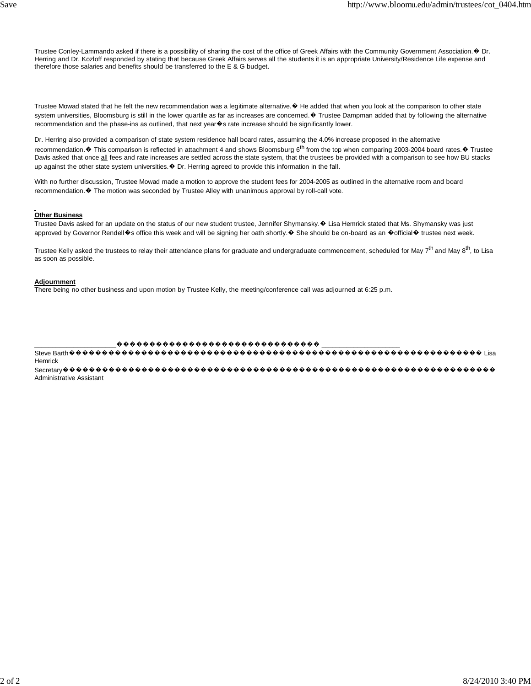Trustee Conley-Lammando asked if there is a possibility of sharing the cost of the office of Greek Affairs with the Community Government Association. ♦ Dr. Herring and Dr. Kozloff responded by stating that because Greek Affairs serves all the students it is an appropriate University/Residence Life expense and therefore those salaries and benefits should be transferred to the E & G budget.

Trustee Mowad stated that he felt the new recommendation was a legitimate alternative. ♦ He added that when you look at the comparison to other state system universities, Bloomsburg is still in the lower quartile as far as increases are concerned. ♦ Trustee Dampman added that by following the alternative recommendation and the phase-ins as outlined, that next year�s rate increase should be significantly lower.

Dr. Herring also provided a comparison of state system residence hall board rates, assuming the 4.0% increase proposed in the alternative recommendation.  $\odot$  This comparison is reflected in attachment 4 and shows Bloomsburg 6<sup>th</sup> from the top when comparing 2003-2004 board rates.  $\odot$  Trustee Davis asked that once all fees and rate increases are settled across the state system, that the trustees be provided with a comparison to see how BU stacks up against the other state system universities.  $\bullet$  Dr. Herring agreed to provide this information in the fall.

With no further discussion, Trustee Mowad made a motion to approve the student fees for 2004-2005 as outlined in the alternative room and board recommendation. ♦ The motion was seconded by Trustee Alley with unanimous approval by roll-call vote.

#### **Other Business**

Trustee Davis asked for an update on the status of our new student trustee, Jennifer Shymansky. ♦ Lisa Hemrick stated that Ms. Shymansky was just approved by Governor Rendell�s office this week and will be signing her oath shortly.� She should be on-board as an �official� trustee next week.

Trustee Kelly asked the trustees to relay their attendance plans for graduate and undergraduate commencement, scheduled for May 7<sup>th</sup> and May 8<sup>th</sup>, to Lisa as soon as possible.

#### **Adjournment**

There being no other business and upon motion by Trustee Kelly, the meeting/conference call was adjourned at 6:25 p.m.

 $\color{blue}{\bm{\phi}}\color{red}{\bm{\phi}}\color{red}{\bm{\phi}}\color{red}{\bm{\phi}}\color{red}{\bm{\phi}}\color{red}{\bm{\phi}}\color{red}{\bm{\phi}}\color{red}{\bm{\phi}}\color{red}{\bm{\phi}}\color{red}{\bm{\phi}}\color{red}{\bm{\phi}}\color{red}{\bm{\phi}}\color{red}{\bm{\phi}}\color{red}{\bm{\phi}}\color{red}{\bm{\phi}}\color{red}{\bm{\phi}}\color{red}{\bm{\phi}}\color{red}{\bm{\phi}}\color{red}{\bm{\phi}}\color{red}{\bm{\phi}}\color{red}{\bm{\phi}}\color{red}{\bm{\phi}}$ 

 $\text{Steve Barth} \textcolor{red}{0} \textcolor{red}{0} \textcolor{red}{0} \textcolor{red}{0} \textcolor{red}{0} \textcolor{red}{0} \textcolor{red}{0} \textcolor{red}{0} \textcolor{red}{0} \textcolor{red}{0} \textcolor{red}{0} \textcolor{red}{0} \textcolor{red}{0} \textcolor{red}{0} \textcolor{red}{0} \textcolor{red}{0} \textcolor{red}{0} \textcolor{red}{0} \textcolor{red}{0} \textcolor{red}{0} \textcolor{red}{0} \textcolor{red}{0} \textcolor{red}{0} \textcolor{red}{0} \textcolor{red}{0} \textcolor{red}{0} \textcolor{red}{$ Hemrick

Administrative Assistant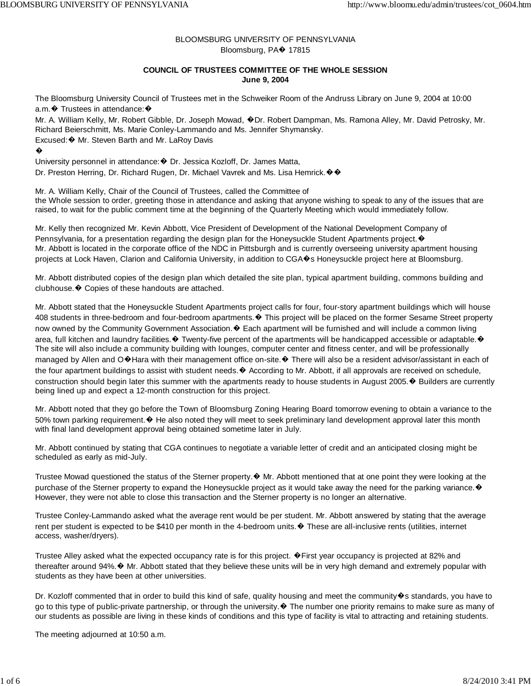## BLOOMSBURG UNIVERSITY OF PENNSYLVANIA Bloomsburg, PA� 17815

## **COUNCIL OF TRUSTEES COMMITTEE OF THE WHOLE SESSION June 9, 2004**

The Bloomsburg University Council of Trustees met in the Schweiker Room of the Andruss Library on June 9, 2004 at 10:00 a.m. ♦ Trustees in attendance: ♦

Mr. A. William Kelly, Mr. Robert Gibble, Dr. Joseph Mowad, �Dr. Robert Dampman, Ms. Ramona Alley, Mr. David Petrosky, Mr. Richard Beierschmitt, Ms. Marie Conley-Lammando and Ms. Jennifer Shymansky. Excused:� Mr. Steven Barth and Mr. LaRoy Davis

�

University personnel in attendance:� Dr. Jessica Kozloff, Dr. James Matta, Dr. Preston Herring, Dr. Richard Rugen, Dr. Michael Vavrek and Ms. Lisa Hemrick.��

Mr. A. William Kelly, Chair of the Council of Trustees, called the Committee of the Whole session to order, greeting those in attendance and asking that anyone wishing to speak to any of the issues that are raised, to wait for the public comment time at the beginning of the Quarterly Meeting which would immediately follow.

Mr. Kelly then recognized Mr. Kevin Abbott, Vice President of Development of the National Development Company of Pennsylvania, for a presentation regarding the design plan for the Honeysuckle Student Apartments project.  $\bullet$ Mr. Abbott is located in the corporate office of the NDC in Pittsburgh and is currently overseeing university apartment housing projects at Lock Haven, Clarion and California University, in addition to CGA�s Honeysuckle project here at Bloomsburg.

Mr. Abbott distributed copies of the design plan which detailed the site plan, typical apartment building, commons building and clubhouse.� Copies of these handouts are attached.

Mr. Abbott stated that the Honeysuckle Student Apartments project calls for four, four-story apartment buildings which will house 408 students in three-bedroom and four-bedroom apartments. $\bullet$  This project will be placed on the former Sesame Street property now owned by the Community Government Association.  $\bullet$  Each apartment will be furnished and will include a common living area, full kitchen and laundry facilities. $\bullet$  Twenty-five percent of the apartments will be handicapped accessible or adaptable. $\bullet$ The site will also include a community building with lounges, computer center and fitness center, and will be professionally managed by Allen and O�Hara with their management office on-site. ♦ There will also be a resident advisor/assistant in each of the four apartment buildings to assist with student needs.  $\bullet$  According to Mr. Abbott, if all approvals are received on schedule, construction should begin later this summer with the apartments ready to house students in August 2005. $\bullet$  Builders are currently being lined up and expect a 12-month construction for this project.

Mr. Abbott noted that they go before the Town of Bloomsburg Zoning Hearing Board tomorrow evening to obtain a variance to the 50% town parking requirement. ♦ He also noted they will meet to seek preliminary land development approval later this month with final land development approval being obtained sometime later in July.

Mr. Abbott continued by stating that CGA continues to negotiate a variable letter of credit and an anticipated closing might be scheduled as early as mid-July.

Trustee Mowad questioned the status of the Sterner property.� Mr. Abbott mentioned that at one point they were looking at the purchase of the Sterner property to expand the Honeysuckle project as it would take away the need for the parking variance. $\bullet$ However, they were not able to close this transaction and the Sterner property is no longer an alternative.

Trustee Conley-Lammando asked what the average rent would be per student. Mr. Abbott answered by stating that the average rent per student is expected to be \$410 per month in the 4-bedroom units.� These are all-inclusive rents (utilities, internet access, washer/dryers).

Trustee Alley asked what the expected occupancy rate is for this project. �First year occupancy is projected at 82% and thereafter around 94%.� Mr. Abbott stated that they believe these units will be in very high demand and extremely popular with students as they have been at other universities.

Dr. Kozloff commented that in order to build this kind of safe, quality housing and meet the community�s standards, you have to go to this type of public-private partnership, or through the university.� The number one priority remains to make sure as many of our students as possible are living in these kinds of conditions and this type of facility is vital to attracting and retaining students.

The meeting adjourned at 10:50 a.m.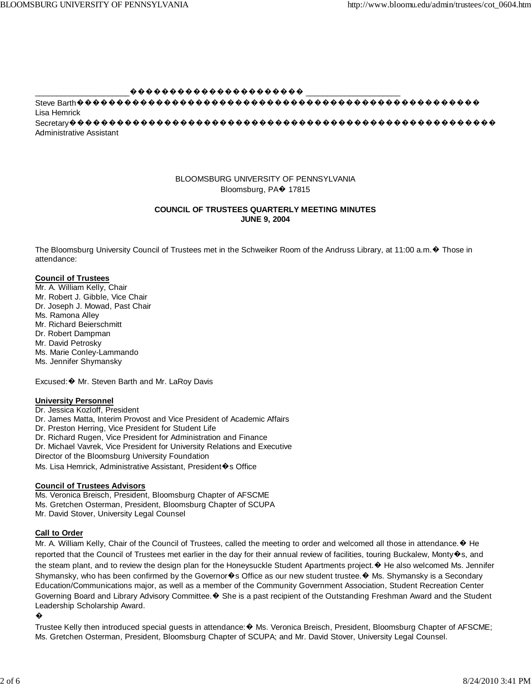$00000000000000000000000$ Lisa Hemrick **Administrative Assistant** 

## BLOOMSBURG UNIVERSITY OF PENNSYLVANIA Bloomsburg, PA $\blacklozenge$  17815

## **COUNCIL OF TRUSTEES QUARTERLY MEETING MINUTES JUNE 9, 2004**

The Bloomsburg University Council of Trustees met in the Schweiker Room of the Andruss Library, at 11:00 a.m. ♦ Those in attendance:

## **Council of Trustees**

Mr. A. William Kelly, Chair Mr. Robert J. Gibble, Vice Chair Dr. Joseph J. Mowad, Past Chair Ms. Ramona Alley Mr. Richard Beierschmitt Dr. Robert Dampman Mr. David Petrosky Ms. Marie Conley-Lammando Ms. Jennifer Shymansky

Excused: ♦ Mr. Steven Barth and Mr. LaRoy Davis

## **University Personnel**

Dr. Jessica Kozloff, President Dr. James Matta, Interim Provost and Vice President of Academic Affairs Dr. Preston Herring, Vice President for Student Life Dr. Richard Rugen, Vice President for Administration and Finance Dr. Michael Vavrek, Vice President for University Relations and Executive Director of the Bloomsburg University Foundation Ms. Lisa Hemrick, Administrative Assistant, President �s Office

#### **Council of Trustees Advisors**

Ms. Veronica Breisch, President, Bloomsburg Chapter of AFSCME Ms. Gretchen Osterman, President, Bloomsburg Chapter of SCUPA Mr. David Stover, University Legal Counsel

## **Call to Order**

Mr. A. William Kelly, Chair of the Council of Trustees, called the meeting to order and welcomed all those in attendance. ♦ He reported that the Council of Trustees met earlier in the day for their annual review of facilities, touring Buckalew, Monty�s, and the steam plant, and to review the design plan for the Honeysuckle Student Apartments project. ♦ He also welcomed Ms. Jennifer Shymansky, who has been confirmed by the Governor�s Office as our new student trustee. ♦ Ms. Shymansky is a Secondary Education/Communications major, as well as a member of the Community Government Association, Student Recreation Center Governing Board and Library Advisory Committee. ♦ She is a past recipient of the Outstanding Freshman Award and the Student Leadership Scholarship Award.

Trustee Kelly then introduced special guests in attendance: � Ms. Veronica Breisch, President, Bloomsburg Chapter of AFSCME; Ms. Gretchen Osterman, President, Bloomsburg Chapter of SCUPA; and Mr. David Stover, University Legal Counsel.

<sup>�</sup>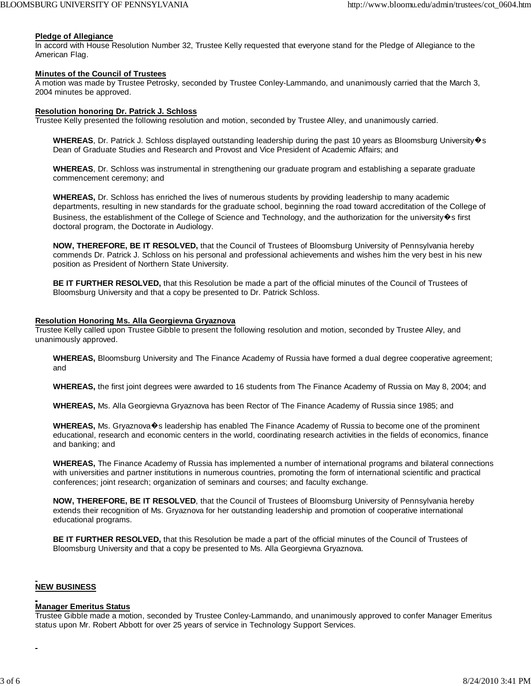#### **Pledge of Allegiance**

In accord with House Resolution Number 32, Trustee Kelly requested that everyone stand for the Pledge of Allegiance to the American Flag.

#### **Minutes of the Council of Trustees**

A motion was made by Trustee Petrosky, seconded by Trustee Conley-Lammando, and unanimously carried that the March 3, 2004 minutes be approved.

#### **Resolution honoring Dr. Patrick J. Schloss**

Trustee Kelly presented the following resolution and motion, seconded by Trustee Alley, and unanimously carried.

WHEREAS, Dr. Patrick J. Schloss displayed outstanding leadership during the past 10 years as Bloomsburg University�s Dean of Graduate Studies and Research and Provost and Vice President of Academic Affairs; and

**WHEREAS**, Dr. Schloss was instrumental in strengthening our graduate program and establishing a separate graduate commencement ceremony; and

**WHEREAS,** Dr. Schloss has enriched the lives of numerous students by providing leadership to many academic departments, resulting in new standards for the graduate school, beginning the road toward accreditation of the College of Business, the establishment of the College of Science and Technology, and the authorization for the university  $\bullet$ s first doctoral program, the Doctorate in Audiology.

**NOW, THEREFORE, BE IT RESOLVED,** that the Council of Trustees of Bloomsburg University of Pennsylvania hereby commends Dr. Patrick J. Schloss on his personal and professional achievements and wishes him the very best in his new position as President of Northern State University.

**BE IT FURTHER RESOLVED,** that this Resolution be made a part of the official minutes of the Council of Trustees of Bloomsburg University and that a copy be presented to Dr. Patrick Schloss.

#### **Resolution Honoring Ms. Alla Georgievna Gryaznova**

Trustee Kelly called upon Trustee Gibble to present the following resolution and motion, seconded by Trustee Alley, and unanimously approved.

**WHEREAS,** Bloomsburg University and The Finance Academy of Russia have formed a dual degree cooperative agreement; and

**WHEREAS,** the first joint degrees were awarded to 16 students from The Finance Academy of Russia on May 8, 2004; and

**WHEREAS,** Ms. Alla Georgievna Gryaznova has been Rector of The Finance Academy of Russia since 1985; and

**WHEREAS,** Ms. Gryaznova�s leadership has enabled The Finance Academy of Russia to become one of the prominent educational, research and economic centers in the world, coordinating research activities in the fields of economics, finance and banking; and

**WHEREAS,** The Finance Academy of Russia has implemented a number of international programs and bilateral connections with universities and partner institutions in numerous countries, promoting the form of international scientific and practical conferences; joint research; organization of seminars and courses; and faculty exchange.

**NOW, THEREFORE, BE IT RESOLVED**, that the Council of Trustees of Bloomsburg University of Pennsylvania hereby extends their recognition of Ms. Gryaznova for her outstanding leadership and promotion of cooperative international educational programs.

**BE IT FURTHER RESOLVED,** that this Resolution be made a part of the official minutes of the Council of Trustees of Bloomsburg University and that a copy be presented to Ms. Alla Georgievna Gryaznova.

## **NEW BUSINESS**

#### **Manager Emeritus Status**

Trustee Gibble made a motion, seconded by Trustee Conley-Lammando, and unanimously approved to confer Manager Emeritus status upon Mr. Robert Abbott for over 25 years of service in Technology Support Services.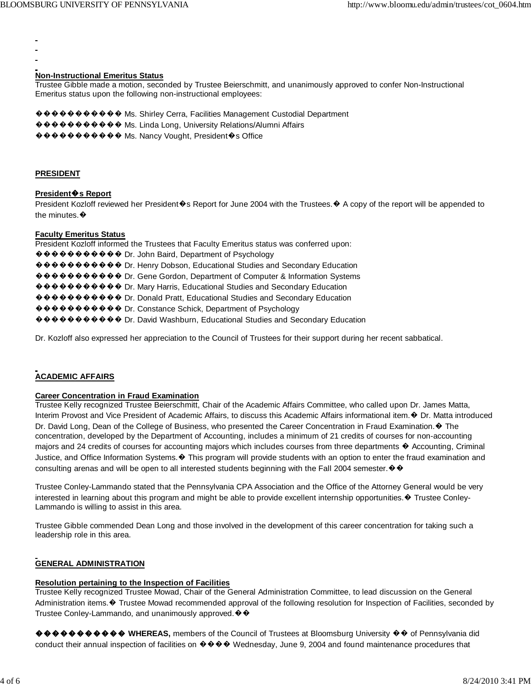## **Non-Instructional Emeritus Status**

Trustee Gibble made a motion, seconded by Trustee Beierschmitt, and unanimously approved to confer Non-Instructional Emeritus status upon the following non-instructional employees:

��������� Chrieg Cerra, Facilities Management Custodial Department ���������� Ms. Linda Long, University Relations/Alumni Affairs

���������� Ms. Nancy Vought, President�s Office

#### **PRESIDENT**

## President<sup>o</sup>s Report

President Kozloff reviewed her President�s Report for June 2004 with the Trustees. ♦ A copy of the report will be appended to the minutes. $\bullet$ 

## **Faculty Emeritus Status**

President Kozloff informed the Trustees that Faculty Emeritus status was conferred upon: ��������� Dr. John Baird, Department of Psychology ��������� Dr. Henry Dobson, Educational Studies and Secondary Education ��������� Dr. Gene Gordon, Department of Computer & Information Systems  $\circledast \bullet \bullet \bullet \bullet \bullet \bullet \bullet \bullet$  Dr. Mary Harris, Educational Studies and Secondary Education ��������� Dr. Donald Pratt, Educational Studies and Secondary Education ���������� Dr. Constance Schick, Department of Psychology �������� Or. David Washburn, Educational Studies and Secondary Education

Dr. Kozloff also expressed her appreciation to the Council of Trustees for their support during her recent sabbatical.

# **ACADEMIC AFFAIRS**

## **Career Concentration in Fraud Examination**

Trustee Kelly recognized Trustee Beierschmitt, Chair of the Academic Affairs Committee, who called upon Dr. James Matta, Interim Provost and Vice President of Academic Affairs, to discuss this Academic Affairs informational item. ♦ Dr. Matta introduced Dr. David Long, Dean of the College of Business, who presented the Career Concentration in Fraud Examination. ♦ The concentration, developed by the Department of Accounting, includes a minimum of 21 credits of courses for non-accounting majors and 24 credits of courses for accounting majors which includes courses from three departments ♦ Accounting, Criminal Justice, and Office Information Systems. • This program will provide students with an option to enter the fraud examination and consulting arenas and will be open to all interested students beginning with the Fall 2004 semester.  $\mathbf{\hat{\Phi}}$ 

Trustee Conley-Lammando stated that the Pennsylvania CPA Association and the Office of the Attorney General would be very interested in learning about this program and might be able to provide excellent internship opportunities. ♦ Trustee Conley-Lammando is willing to assist in this area.

Trustee Gibble commended Dean Long and those involved in the development of this career concentration for taking such a leadership role in this area.

## **GENERAL ADMINISTRATION**

## **Resolution pertaining to the Inspection of Facilities**

Trustee Kelly recognized Trustee Mowad, Chair of the General Administration Committee, to lead discussion on the General Administration items. ♦ Trustee Mowad recommended approval of the following resolution for Inspection of Facilities, seconded by Trustee Conley-Lammando, and unanimously approved. ♦ ♦

���� WHEREAS, members of the Council of Trustees at Bloomsburg University �� of Pennsylvania did conduct their annual inspection of facilities on  $\Diamond \Diamond \Diamond \Diamond$  Wednesday, June 9, 2004 and found maintenance procedures that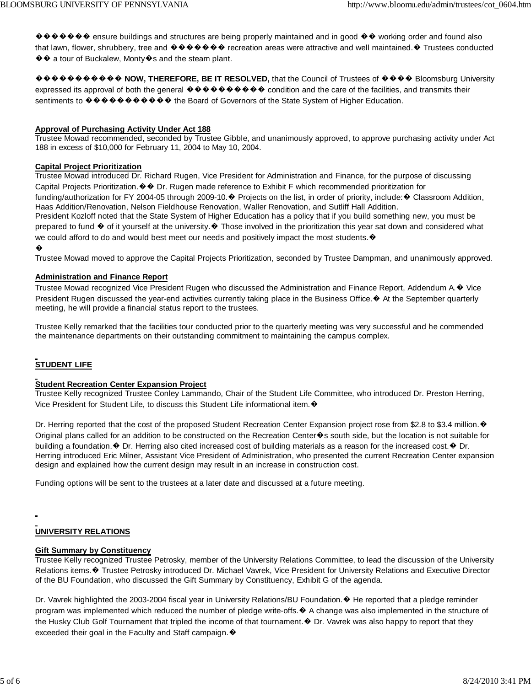����� onsure buildings and structures are being properly maintained and in good �� working order and found also that lawn, flower, shrubbery, tree and  $\bullet \bullet \bullet \bullet \bullet \bullet \bullet \bullet$  recreation areas were attractive and well maintained.  $\bullet$  Trustees conducted ♦ ♦ a tour of Buckalew, Monty ♦ s and the steam plant.

����������� **NOW, THEREFORE, BE IT RESOLVED,** that the Council of Trustees of ���� Bloomsburg University expressed its approval of both the general  $\bullet \bullet \bullet \bullet \bullet \bullet \bullet \bullet \bullet \bullet \bullet$  condition and the care of the facilities, and transmits their sentiments to  $\mathbf{\hat{\Phi}} \mathbf{\hat{\Phi}} \mathbf{\hat{\Phi}} \mathbf{\hat{\Phi}} \mathbf{\hat{\Phi}} \mathbf{\hat{\Phi}} \mathbf{\hat{\Phi}} \mathbf{\hat{\Phi}}$  the Board of Governors of the State System of Higher Education.

## **Approval of Purchasing Activity Under Act 188**

Trustee Mowad recommended, seconded by Trustee Gibble, and unanimously approved, to approve purchasing activity under Act 188 in excess of \$10,000 for February 11, 2004 to May 10, 2004.

## **Capital Project Prioritization**

Trustee Mowad introduced Dr. Richard Rugen, Vice President for Administration and Finance, for the purpose of discussing Capital Projects Prioritization. �� Dr. Rugen made reference to Exhibit F which recommended prioritization for funding/authorization for FY 2004-05 through 2009-10.� Projects on the list, in order of priority, include:� Classroom Addition, Haas Addition/Renovation, Nelson Fieldhouse Renovation, Waller Renovation, and Sutliff Hall Addition. President Kozloff noted that the State System of Higher Education has a policy that if you build something new, you must be

prepared to fund � of it yourself at the university.� Those involved in the prioritization this year sat down and considered what we could afford to do and would best meet our needs and positively impact the most students. $\mathbf{\hat{v}}$ 

#### �

Trustee Mowad moved to approve the Capital Projects Prioritization, seconded by Trustee Dampman, and unanimously approved.

## **Administration and Finance Report**

Trustee Mowad recognized Vice President Rugen who discussed the Administration and Finance Report, Addendum A.� Vice President Rugen discussed the year-end activities currently taking place in the Business Office.  $\blacklozenge$  At the September quarterly meeting, he will provide a financial status report to the trustees.

Trustee Kelly remarked that the facilities tour conducted prior to the quarterly meeting was very successful and he commended the maintenance departments on their outstanding commitment to maintaining the campus complex.

# **STUDENT LIFE**

## **Student Recreation Center Expansion Project**

Trustee Kelly recognized Trustee Conley Lammando, Chair of the Student Life Committee, who introduced Dr. Preston Herring, Vice President for Student Life, to discuss this Student Life informational item. $\mathbf{\hat{v}}$ 

Dr. Herring reported that the cost of the proposed Student Recreation Center Expansion project rose from \$2.8 to \$3.4 million. ♦ Original plans called for an addition to be constructed on the Recreation Center�s south side, but the location is not suitable for building a foundation. $\bullet$  Dr. Herring also cited increased cost of building materials as a reason for the increased cost. $\bullet$  Dr. Herring introduced Eric Milner, Assistant Vice President of Administration, who presented the current Recreation Center expansion design and explained how the current design may result in an increase in construction cost.

Funding options will be sent to the trustees at a later date and discussed at a future meeting.

# **UNIVERSITY RELATIONS**

## **Gift Summary by Constituency**

Trustee Kelly recognized Trustee Petrosky, member of the University Relations Committee, to lead the discussion of the University Relations items.� Trustee Petrosky introduced Dr. Michael Vavrek, Vice President for University Relations and Executive Director of the BU Foundation, who discussed the Gift Summary by Constituency, Exhibit G of the agenda.

Dr. Vavrek highlighted the 2003-2004 fiscal year in University Relations/BU Foundation. ♦ He reported that a pledge reminder program was implemented which reduced the number of pledge write-offs.� A change was also implemented in the structure of the Husky Club Golf Tournament that tripled the income of that tournament.� Dr. Vavrek was also happy to report that they exceeded their goal in the Faculty and Staff campaign.  $\bullet$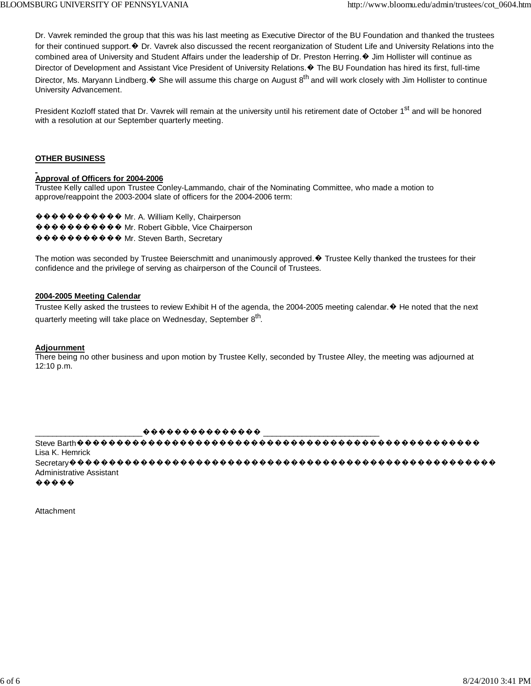Dr. Vavrek reminded the group that this was his last meeting as Executive Director of the BU Foundation and thanked the trustees for their continued support.  $\odot$  Dr. Vavrek also discussed the recent reorganization of Student Life and University Relations into the combined area of University and Student Affairs under the leadership of Dr. Preston Herring. ♦ Jim Hollister will continue as Director of Development and Assistant Vice President of University Relations. ♦ The BU Foundation has hired its first, full-time Director, Ms. Maryann Lindberg.  $\odot$  She will assume this charge on August  $8^{th}$  and will work closely with Jim Hollister to continue University Advancement.

President Kozloff stated that Dr. Vavrek will remain at the university until his retirement date of October 1<sup>st</sup> and will be honored with a resolution at our September quarterly meeting.

## **OTHER BUSINESS**

# Approval of Officers for 2004-2006

Trustee Kelly called upon Trustee Conley-Lammando, chair of the Nominating Committee, who made a motion to approve/reappoint the 2003-2004 slate of officers for the 2004-2006 term:

 $\langle \langle \langle \rangle \rangle$   $\langle \rangle$   $\langle \rangle$   $\langle \rangle$   $\langle \rangle$   $\langle \rangle$   $\langle \rangle$   $\langle \rangle$   $\langle \rangle$  Mr. A. William Kelly, Chairperson ��������� Mr. Robert Gibble, Vice Chairperson ��������� IMr. Steven Barth, Secretary

The motion was seconded by Trustee Beierschmitt and unanimously approved. ♦ Trustee Kelly thanked the trustees for their confidence and the privilege of serving as chairperson of the Council of Trustees.

## 2004-2005 Meeting Calendar

Trustee Kelly asked the trustees to review Exhibit H of the agenda, the 2004-2005 meeting calendar. ♦ He noted that the next quarterly meeting will take place on Wednesday, September 8<sup>th</sup>.

## **Adjournment**

There being no other business and upon motion by Trustee Kelly, seconded by Trustee Alley, the meeting was adjourned at 12:10 p.m.

 $\left[\begin{smallmatrix} \color{red}{\boldsymbol{\phi}} & \color{red}{\boldsymbol{\phi}} & \color{red}{\boldsymbol{\phi}} & \color{red}{\boldsymbol{\phi}} & \color{red}{\boldsymbol{\phi}} & \color{red}{\boldsymbol{\phi}} & \color{red}{\boldsymbol{\phi}} & \color{red}{\boldsymbol{\phi}} & \color{red}{\boldsymbol{\phi}} & \color{red}{\boldsymbol{\phi}} & \color{red}{\boldsymbol{\phi}} & \color{red}{\boldsymbol{\phi}} & \color{red}{\boldsymbol{\phi}} & \color{red}{\boldsymbol{\phi}} & \color{red}{\boldsymbol{\phi}} & \color{red}{\boldsymbol{\phi}} & \color{red}{\boldsymbol{\phi}} & \color{red}{\boldsymbol$ 

Lisa K. Hemrick Administrative Assistant

 $\bullet\bullet\bullet\bullet\bullet$ 

Attachment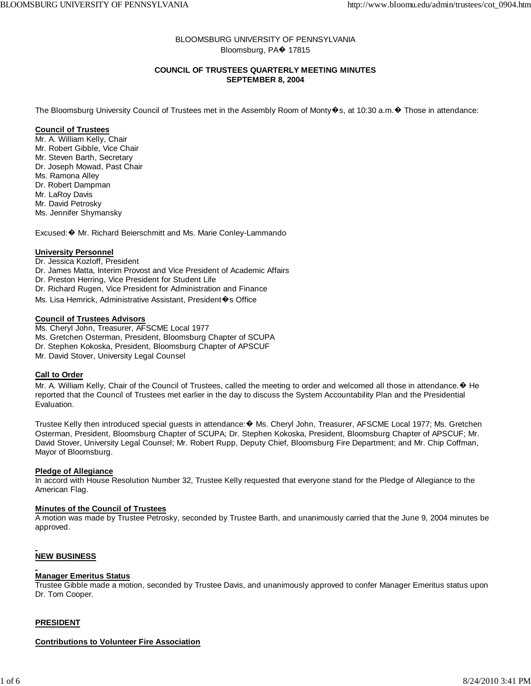## BLOOMSBURG UNIVERSITY OF PENNSYLVANIA Bloomsburg, PA� 17815

## **COUNCIL OF TRUSTEES QUARTERLY MEETING MINUTES SEPTEMBER 8, 2004**

The Bloomsburg University Council of Trustees met in the Assembly Room of Monty�s, at 10:30 a.m.� Those in attendance:

## **Council of Trustees**

Mr. A. William Kelly, Chair Mr. Robert Gibble, Vice Chair Mr. Steven Barth, Secretary Dr. Joseph Mowad, Past Chair Ms. Ramona Alley Dr. Robert Dampman Mr. LaRoy Davis Mr. David Petrosky Ms. Jennifer Shymansky

Excused:� Mr. Richard Beierschmitt and Ms. Marie Conley-Lammando

## **University Personnel**

- Dr. Jessica Kozloff, President Dr. James Matta, Interim Provost and Vice President of Academic Affairs
- Dr. Preston Herring, Vice President for Student Life
- Dr. Richard Rugen, Vice President for Administration and Finance
- Ms. Lisa Hemrick, Administrative Assistant, President�s Office

## **Council of Trustees Advisors**

- Ms. Cheryl John, Treasurer, AFSCME Local 1977
- Ms. Gretchen Osterman, President, Bloomsburg Chapter of SCUPA
- Dr. Stephen Kokoska, President, Bloomsburg Chapter of APSCUF
- Mr. David Stover, University Legal Counsel

#### **Call to Order**

Mr. A. William Kelly, Chair of the Council of Trustees, called the meeting to order and welcomed all those in attendance. ♦ He reported that the Council of Trustees met earlier in the day to discuss the System Accountability Plan and the Presidential Evaluation.

Trustee Kelly then introduced special guests in attendance:� Ms. Cheryl John, Treasurer, AFSCME Local 1977; Ms. Gretchen Osterman, President, Bloomsburg Chapter of SCUPA; Dr. Stephen Kokoska, President, Bloomsburg Chapter of APSCUF; Mr. David Stover, University Legal Counsel; Mr. Robert Rupp, Deputy Chief, Bloomsburg Fire Department; and Mr. Chip Coffman, Mayor of Bloomsburg.

#### **Pledge of Allegiance**

In accord with House Resolution Number 32, Trustee Kelly requested that everyone stand for the Pledge of Allegiance to the American Flag.

#### **Minutes of the Council of Trustees**

A motion was made by Trustee Petrosky, seconded by Trustee Barth, and unanimously carried that the June 9, 2004 minutes be approved.

## **NEW BUSINESS**

#### **Manager Emeritus Status**

Trustee Gibble made a motion, seconded by Trustee Davis, and unanimously approved to confer Manager Emeritus status upon Dr. Tom Cooper.

## **PRESIDENT**

## **Contributions to Volunteer Fire Association**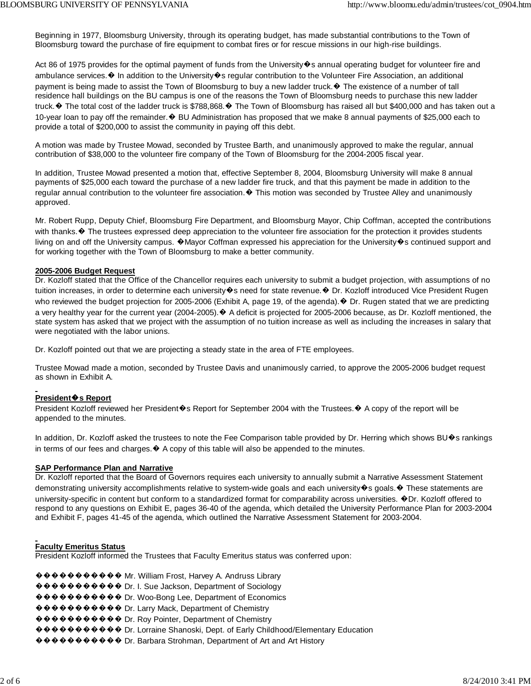Beginning in 1977, Bloomsburg University, through its operating budget, has made substantial contributions to the Town of Bloomsburg toward the purchase of fire equipment to combat fires or for rescue missions in our high-rise buildings.

Act 86 of 1975 provides for the optimal payment of funds from the University $\bullet$ s annual operating budget for volunteer fire and ambulance services. $\bullet$  In addition to the University $\bullet$ s regular contribution to the Volunteer Fire Association, an additional payment is being made to assist the Town of Bloomsburg to buy a new ladder truck.� The existence of a number of tall residence hall buildings on the BU campus is one of the reasons the Town of Bloomsburg needs to purchase this new ladder truck.� The total cost of the ladder truck is \$788,868.� The Town of Bloomsburg has raised all but \$400,000 and has taken out a 10-year loan to pay off the remainder.� BU Administration has proposed that we make 8 annual payments of \$25,000 each to provide a total of \$200,000 to assist the community in paying off this debt.

A motion was made by Trustee Mowad, seconded by Trustee Barth, and unanimously approved to make the regular, annual contribution of \$38,000 to the volunteer fire company of the Town of Bloomsburg for the 2004-2005 fiscal year.

In addition, Trustee Mowad presented a motion that, effective September 8, 2004, Bloomsburg University will make 8 annual payments of \$25,000 each toward the purchase of a new ladder fire truck, and that this payment be made in addition to the regular annual contribution to the volunteer fire association. $\bullet$  This motion was seconded by Trustee Alley and unanimously approved.

Mr. Robert Rupp, Deputy Chief, Bloomsburg Fire Department, and Bloomsburg Mayor, Chip Coffman, accepted the contributions with thanks.  $\bullet$  The trustees expressed deep appreciation to the volunteer fire association for the protection it provides students living on and off the University campus.  $\bullet$  Mayor Coffman expressed his appreciation for the University  $\bullet$ s continued support and for working together with the Town of Bloomsburg to make a better community.

## **2005-2006 Budget Request**

Dr. Kozloff stated that the Office of the Chancellor requires each university to submit a budget projection, with assumptions of no tuition increases, in order to determine each university�s need for state revenue.� Dr. Kozloff introduced Vice President Rugen who reviewed the budget projection for 2005-2006 (Exhibit A, page 19, of the agenda).� Dr. Rugen stated that we are predicting a very healthy year for the current year (2004-2005).� A deficit is projected for 2005-2006 because, as Dr. Kozloff mentioned, the state system has asked that we project with the assumption of no tuition increase as well as including the increases in salary that were negotiated with the labor unions.

Dr. Kozloff pointed out that we are projecting a steady state in the area of FTE employees.

Trustee Mowad made a motion, seconded by Trustee Davis and unanimously carried, to approve the 2005-2006 budget request as shown in Exhibit A.

## **President**�**s Report**

President Kozloff reviewed her President�s Report for September 2004 with the Trustees.� A copy of the report will be appended to the minutes.

In addition, Dr. Kozloff asked the trustees to note the Fee Comparison table provided by Dr. Herring which shows BU�s rankings in terms of our fees and charges. $\bullet$  A copy of this table will also be appended to the minutes.

#### **SAP Performance Plan and Narrative**

Dr. Kozloff reported that the Board of Governors requires each university to annually submit a Narrative Assessment Statement demonstrating university accomplishments relative to system-wide goals and each university�s goals.� These statements are university-specific in content but conform to a standardized format for comparability across universities.  $\bigcirc$ Dr. Kozloff offered to respond to any questions on Exhibit E, pages 36-40 of the agenda, which detailed the University Performance Plan for 2003-2004 and Exhibit F, pages 41-45 of the agenda, which outlined the Narrative Assessment Statement for 2003-2004.

#### **Faculty Emeritus Status**

President Kozloff informed the Trustees that Faculty Emeritus status was conferred upon:

���������� Mr. William Frost, Harvey A. Andruss Library ���������� Dr. I. Sue Jackson, Department of Sociology ���������� Dr. Woo-Bong Lee, Department of Economics ����������� Dr. Larry Mack, Department of Chemistry ���������� Dr. Roy Pointer, Department of Chemistry ���������� Dr. Lorraine Shanoski, Dept. of Early Childhood/Elementary Education ���������� Dr. Barbara Strohman, Department of Art and Art History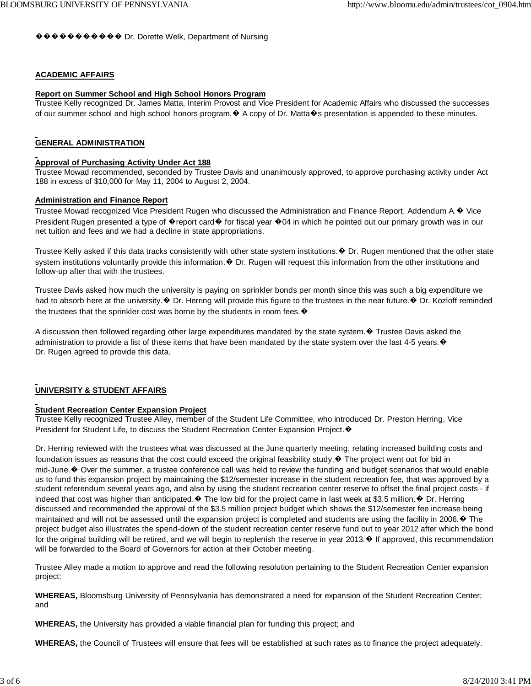���������� Dr. Dorette Welk, Department of Nursing

## **ACADEMIC AFFAIRS**

#### **Report on Summer School and High School Honors Program**

Trustee Kelly recognized Dr. James Matta, Interim Provost and Vice President for Academic Affairs who discussed the successes of our summer school and high school honors program. $\bullet$  A copy of Dr. Matta $\bullet$ s presentation is appended to these minutes.

## **GENERAL ADMINISTRATION**

#### **Approval of Purchasing Activity Under Act 188**

Trustee Mowad recommended, seconded by Trustee Davis and unanimously approved, to approve purchasing activity under Act 188 in excess of \$10,000 for May 11, 2004 to August 2, 2004.

#### **Administration and Finance Report**

Trustee Mowad recognized Vice President Rugen who discussed the Administration and Finance Report, Addendum A.� Vice President Rugen presented a type of  $\bullet$  report card  $\bullet$  for fiscal year  $\bullet$  04 in which he pointed out our primary growth was in our net tuition and fees and we had a decline in state appropriations.

Trustee Kelly asked if this data tracks consistently with other state system institutions. $\bullet$  Dr. Rugen mentioned that the other state system institutions voluntarily provide this information. $\bullet$  Dr. Rugen will request this information from the other institutions and follow-up after that with the trustees.

Trustee Davis asked how much the university is paying on sprinkler bonds per month since this was such a big expenditure we had to absorb here at the university. $\bullet$  Dr. Herring will provide this figure to the trustees in the near future. $\bullet$  Dr. Kozloff reminded the trustees that the sprinkler cost was borne by the students in room fees.  $\mathbf{\hat{P}}$ 

A discussion then followed regarding other large expenditures mandated by the state system. $\odot$  Trustee Davis asked the administration to provide a list of these items that have been mandated by the state system over the last 4-5 years. $\bullet$ Dr. Rugen agreed to provide this data.

## **UNIVERSITY & STUDENT AFFAIRS**

### **Student Recreation Center Expansion Project**

Trustee Kelly recognized Trustee Alley, member of the Student Life Committee, who introduced Dr. Preston Herring, Vice President for Student Life, to discuss the Student Recreation Center Expansion Project. ♦

Dr. Herring reviewed with the trustees what was discussed at the June quarterly meeting, relating increased building costs and foundation issues as reasons that the cost could exceed the original feasibility study.� The project went out for bid in mid-June.� Over the summer, a trustee conference call was held to review the funding and budget scenarios that would enable us to fund this expansion project by maintaining the \$12/semester increase in the student recreation fee, that was approved by a student referendum several years ago, and also by using the student recreation center reserve to offset the final project costs - if indeed that cost was higher than anticipated. $\bullet$  The low bid for the project came in last week at \$3.5 million. $\bullet$  Dr. Herring discussed and recommended the approval of the \$3.5 million project budget which shows the \$12/semester fee increase being maintained and will not be assessed until the expansion project is completed and students are using the facility in 2006. ♦ The project budget also illustrates the spend-down of the student recreation center reserve fund out to year 2012 after which the bond for the original building will be retired, and we will begin to replenish the reserve in year 2013. $\bullet$  If approved, this recommendation will be forwarded to the Board of Governors for action at their October meeting.

Trustee Alley made a motion to approve and read the following resolution pertaining to the Student Recreation Center expansion project:

**WHEREAS,** Bloomsburg University of Pennsylvania has demonstrated a need for expansion of the Student Recreation Center; and

**WHEREAS,** the University has provided a viable financial plan for funding this project; and

**WHEREAS,** the Council of Trustees will ensure that fees will be established at such rates as to finance the project adequately.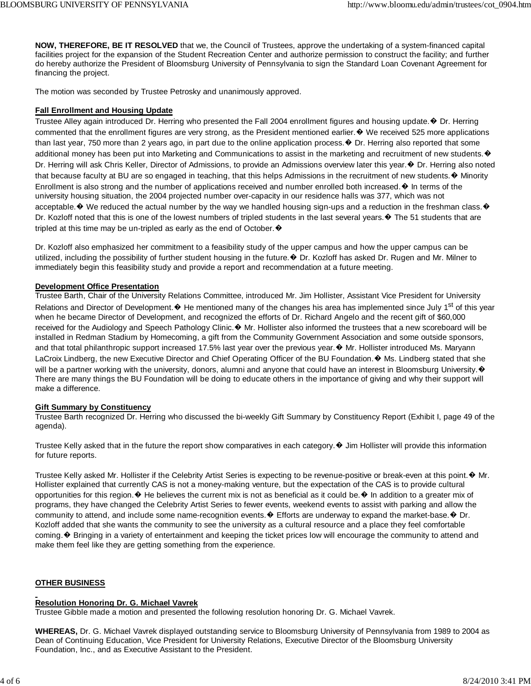**NOW, THEREFORE, BE IT RESOLVED** that we, the Council of Trustees, approve the undertaking of a system-financed capital facilities project for the expansion of the Student Recreation Center and authorize permission to construct the facility; and further do hereby authorize the President of Bloomsburg University of Pennsylvania to sign the Standard Loan Covenant Agreement for financing the project.

The motion was seconded by Trustee Petrosky and unanimously approved.

## **Fall Enrollment and Housing Update**

Trustee Alley again introduced Dr. Herring who presented the Fall 2004 enrollment figures and housing update. ♦ Dr. Herring commented that the enrollment figures are very strong, as the President mentioned earlier.  $\bullet$  We received 525 more applications than last year, 750 more than 2 years ago, in part due to the online application process.� Dr. Herring also reported that some additional money has been put into Marketing and Communications to assist in the marketing and recruitment of new students. Dr. Herring will ask Chris Keller, Director of Admissions, to provide an Admissions overview later this year. ♦ Dr. Herring also noted that because faculty at BU are so engaged in teaching, that this helps Admissions in the recruitment of new students. $\bullet$  Minority Enrollment is also strong and the number of applications received and number enrolled both increased.  $\bullet$  In terms of the university housing situation, the 2004 projected number over-capacity in our residence halls was 377, which was not acceptable. $\bullet$  We reduced the actual number by the way we handled housing sign-ups and a reduction in the freshman class. $\bullet$ Dr. Kozloff noted that this is one of the lowest numbers of tripled students in the last several years. ♦ The 51 students that are tripled at this time may be un-tripled as early as the end of October.  $\blacklozenge$ 

Dr. Kozloff also emphasized her commitment to a feasibility study of the upper campus and how the upper campus can be utilized, including the possibility of further student housing in the future.� Dr. Kozloff has asked Dr. Rugen and Mr. Milner to immediately begin this feasibility study and provide a report and recommendation at a future meeting.

## **Development Office Presentation**

Trustee Barth, Chair of the University Relations Committee, introduced Mr. Jim Hollister, Assistant Vice President for University Relations and Director of Development. $\bullet$  He mentioned many of the changes his area has implemented since July 1<sup>st</sup> of this year when he became Director of Development, and recognized the efforts of Dr. Richard Angelo and the recent gift of \$60,000 received for the Audiology and Speech Pathology Clinic.� Mr. Hollister also informed the trustees that a new scoreboard will be installed in Redman Stadium by Homecoming, a gift from the Community Government Association and some outside sponsors, and that total philanthropic support increased 17.5% last year over the previous year. ♦ Mr. Hollister introduced Ms. Maryann LaCroix Lindberg, the new Executive Director and Chief Operating Officer of the BU Foundation. ♦ Ms. Lindberg stated that she will be a partner working with the university, donors, alumni and anyone that could have an interest in Bloomsburg University. $\ddot{\mathbf{\Phi}}$ There are many things the BU Foundation will be doing to educate others in the importance of giving and why their support will make a difference.

## **Gift Summary by Constituency**

Trustee Barth recognized Dr. Herring who discussed the bi-weekly Gift Summary by Constituency Report (Exhibit I, page 49 of the agenda).

Trustee Kelly asked that in the future the report show comparatives in each category.� Jim Hollister will provide this information for future reports.

Trustee Kelly asked Mr. Hollister if the Celebrity Artist Series is expecting to be revenue-positive or break-even at this point. $\bullet$  Mr. Hollister explained that currently CAS is not a money-making venture, but the expectation of the CAS is to provide cultural opportunities for this region.� He believes the current mix is not as beneficial as it could be.� In addition to a greater mix of programs, they have changed the Celebrity Artist Series to fewer events, weekend events to assist with parking and allow the community to attend, and include some name-recognition events. $\bullet$  Efforts are underway to expand the market-base. $\bullet$  Dr. Kozloff added that she wants the community to see the university as a cultural resource and a place they feel comfortable coming.� Bringing in a variety of entertainment and keeping the ticket prices low will encourage the community to attend and make them feel like they are getting something from the experience.

## **OTHER BUSINESS**

# **Resolution Honoring Dr. G. Michael Vavrek**

Trustee Gibble made a motion and presented the following resolution honoring Dr. G. Michael Vavrek.

**WHEREAS,** Dr. G. Michael Vavrek displayed outstanding service to Bloomsburg University of Pennsylvania from 1989 to 2004 as Dean of Continuing Education, Vice President for University Relations, Executive Director of the Bloomsburg University Foundation, Inc., and as Executive Assistant to the President.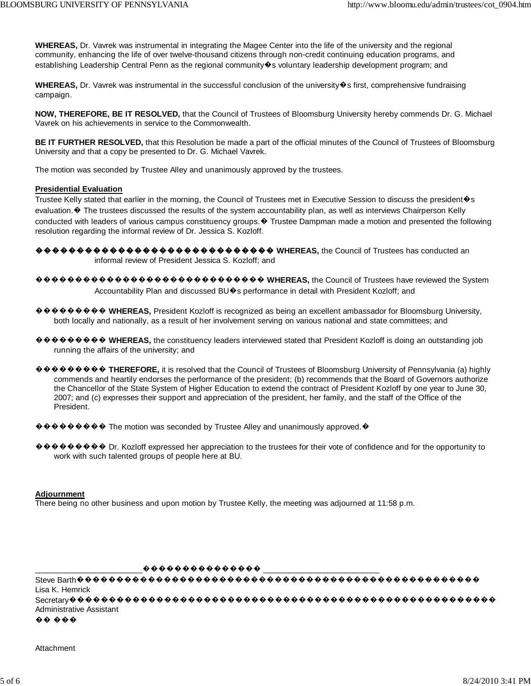WHEREAS, Dr. Vavrek was instrumental in integrating the Magee Center into the life of the university and the regional community, enhancing the life of over twelve-thousand citizens through non-credit continuing education programs, and establishing Leadership Central Penn as the regional community�s voluntary leadership development program; and

WHEREAS, Dr. Vavrek was instrumental in the successful conclusion of the university�s first, comprehensive fundraising campaign.

NOW, THEREFORE, BE IT RESOLVED, that the Council of Trustees of Bloomsburg University hereby commends Dr. G. Michael Vavrek on his achievements in service to the Commonwealth.

BE IT FURTHER RESOLVED, that this Resolution be made a part of the official minutes of the Council of Trustees of Bloomsburg University and that a copy be presented to Dr. G. Michael Vavrek.

The motion was seconded by Trustee Alley and unanimously approved by the trustees.

#### **Presidential Evaluation**

Trustee Kelly stated that earlier in the morning, the Council of Trustees met in Executive Session to discuss the president �s evaluation. ♦ The trustees discussed the results of the system accountability plan, as well as interviews Chairperson Kelly conducted with leaders of various campus constituency groups. ♦ Trustee Dampman made a motion and presented the following resolution regarding the informal review of Dr. Jessica S. Kozloff.

- informal review of President Jessica S. Kozloff; and
- $\bigcirc$   $\bigcirc$   $\bigcirc$   $\bigcirc$   $\bigcirc$   $\bigcirc$   $\bigcirc$   $\bigcirc$   $\bigcirc$   $\bigcirc$   $\bigcirc$   $\bigcirc$   $\bigcirc$   $\bigcirc$   $\bigcirc$   $\bigcirc$   $\bigcirc$   $\bigcirc$   $\bigcirc$   $\bigcirc$   $\bigcirc$   $\bigcirc$   $\bigcirc$   $\bigcirc$   $\bigcirc$   $\bigcirc$   $\bigcirc$   $\bigcirc$   $\bigcirc$   $\bigcirc$   $\bigcirc$   $\bigcirc$   $\bigcirc$   $\bigcirc$   $\bigcirc$   $\bigcirc$   $\bigcirc$ Accountability Plan and discussed BU�s performance in detail with President Kozloff; and
- $\circ \bullet \bullet \bullet \bullet \bullet \bullet \bullet$  WHEREAS, President Kozloff is recognized as being an excellent ambassador for Bloomsburg University, both locally and nationally, as a result of her involvement serving on various national and state committees; and
- ������� WHEREAS, the constituency leaders interviewed stated that President Kozloff is doing an outstanding job running the affairs of the university; and
- ������� THEREFORE, it is resolved that the Council of Trustees of Bloomsburg University of Pennsylvania (a) highly commends and heartily endorses the performance of the president; (b) recommends that the Board of Governors authorize the Chancellor of the State System of Higher Education to extend the contract of President Kozloff by one year to June 30, 2007; and (c) expresses their support and appreciation of the president, her family, and the staff of the Office of the President.
- $\circledast \bullet \bullet \bullet \bullet \bullet \bullet$  The motion was seconded by Trustee Alley and unanimously approved.  $\bullet$

������� Dr. Kozloff expressed her appreciation to the trustees for their vote of confidence and for the opportunity to work with such talented groups of people here at BU.

## **Adjournment**

There being no other business and upon motion by Trustee Kelly, the meeting was adjourned at 11:58 p.m.

Lisa K. Hemrick Administrative Assistant  $\bullet\bullet\bullet\bullet\bullet$ 

Attachment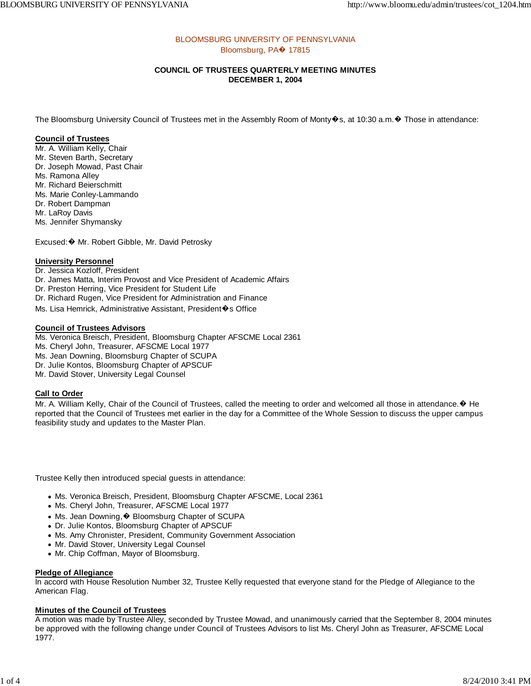## BLOOMSBURG UNIVERSITY OF PENNSYLVANIA Bloomsburg, PA� 17815

## **COUNCIL OF TRUSTEES QUARTERLY MEETING MINUTES DECEMBER 1, 2004**

The Bloomsburg University Council of Trustees met in the Assembly Room of Monty�s, at 10:30 a.m.� Those in attendance:

## **Council of Trustees**

Mr. A. William Kelly, Chair Mr. Steven Barth, Secretary Dr. Joseph Mowad, Past Chair Ms. Ramona Alley Mr. Richard Beierschmitt Ms. Marie Conley-Lammando Dr. Robert Dampman Mr. LaRoy Davis Ms. Jennifer Shymansky

Excused:� Mr. Robert Gibble, Mr. David Petrosky

## **University Personnel**

Dr. Jessica Kozloff, President

Dr. James Matta, Interim Provost and Vice President of Academic Affairs

Dr. Preston Herring, Vice President for Student Life

Dr. Richard Rugen, Vice President for Administration and Finance

Ms. Lisa Hemrick, Administrative Assistant, President�s Office

#### **Council of Trustees Advisors**

Ms. Veronica Breisch, President, Bloomsburg Chapter AFSCME Local 2361

Ms. Cheryl John, Treasurer, AFSCME Local 1977

Ms. Jean Downing, Bloomsburg Chapter of SCUPA

Dr. Julie Kontos, Bloomsburg Chapter of APSCUF Mr. David Stover, University Legal Counsel

# **Call to Order**

Mr. A. William Kelly, Chair of the Council of Trustees, called the meeting to order and welcomed all those in attendance. $\bullet$  He reported that the Council of Trustees met earlier in the day for a Committee of the Whole Session to discuss the upper campus feasibility study and updates to the Master Plan.

Trustee Kelly then introduced special guests in attendance:

- Ms. Veronica Breisch, President, Bloomsburg Chapter AFSCME, Local 2361
- Ms. Cheryl John, Treasurer, AFSCME Local 1977
- Ms. Jean Downing, � Bloomsburg Chapter of SCUPA
- Dr. Julie Kontos, Bloomsburg Chapter of APSCUF
- Ms. Amy Chronister, President, Community Government Association
- Mr. David Stover, University Legal Counsel
- Mr. Chip Coffman, Mayor of Bloomsburg.

#### **Pledge of Allegiance**

In accord with House Resolution Number 32, Trustee Kelly requested that everyone stand for the Pledge of Allegiance to the American Flag.

## **Minutes of the Council of Trustees**

A motion was made by Trustee Alley, seconded by Trustee Mowad, and unanimously carried that the September 8, 2004 minutes be approved with the following change under Council of Trustees Advisors to list Ms. Cheryl John as Treasurer, AFSCME Local 1977.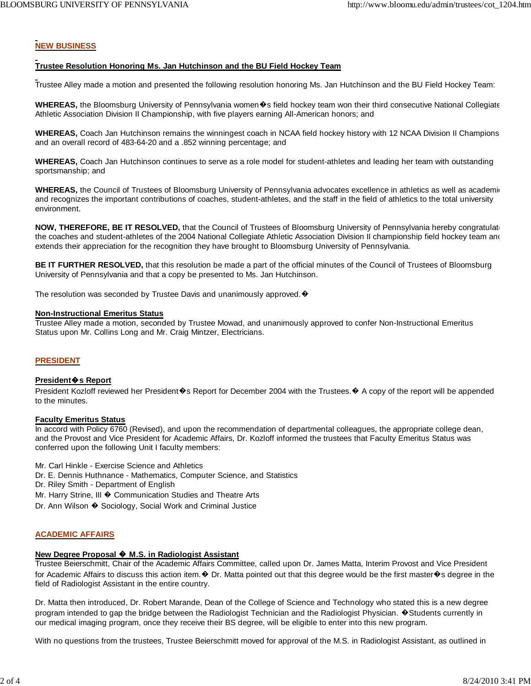# **NEW BUSINESS**

## **Trustee Resolution Honoring Ms. Jan Hutchinson and the BU Field Hockey Team**

Trustee Alley made a motion and presented the following resolution honoring Ms. Jan Hutchinson and the BU Field Hockey Team:

**WHEREAS,** the Bloomsburg University of Pennsylvania women�s field hockey team won their third consecutive National Collegiate Athletic Association Division II Championship, with five players earning All-American honors; and

**WHEREAS,** Coach Jan Hutchinson remains the winningest coach in NCAA field hockey history with 12 NCAA Division II Champions and an overall record of 483-64-20 and a .852 winning percentage; and

**WHEREAS,** Coach Jan Hutchinson continues to serve as a role model for student-athletes and leading her team with outstanding sportsmanship; and

**WHEREAS,** the Council of Trustees of Bloomsburg University of Pennsylvania advocates excellence in athletics as well as academic and recognizes the important contributions of coaches, student-athletes, and the staff in the field of athletics to the total university environment.

**NOW, THEREFORE, BE IT RESOLVED,** that the Council of Trustees of Bloomsburg University of Pennsylvania hereby congratulate the coaches and student-athletes of the 2004 National Collegiate Athletic Association Division II championship field hockey team and extends their appreciation for the recognition they have brought to Bloomsburg University of Pennsylvania.

**BE IT FURTHER RESOLVED,** that this resolution be made a part of the official minutes of the Council of Trustees of Bloomsburg University of Pennsylvania and that a copy be presented to Ms. Jan Hutchinson.

The resolution was seconded by Trustee Davis and unanimously approved.  $\bullet$ 

#### **Non-Instructional Emeritus Status**

Trustee Alley made a motion, seconded by Trustee Mowad, and unanimously approved to confer Non-Instructional Emeritus Status upon Mr. Collins Long and Mr. Craig Mintzer, Electricians.

## **PRESIDENT**

#### **President**�**s Report**

President Kozloff reviewed her President�s Report for December 2004 with the Trustees.♦ A copy of the report will be appended to the minutes.

#### **Faculty Emeritus Status**

In accord with Policy 6760 (Revised), and upon the recommendation of departmental colleagues, the appropriate college dean, and the Provost and Vice President for Academic Affairs, Dr. Kozloff informed the trustees that Faculty Emeritus Status was conferred upon the following Unit I faculty members:

Mr. Carl Hinkle - Exercise Science and Athletics

- Dr. E. Dennis Huthnance Mathematics, Computer Science, and Statistics
- Dr. Riley Smith Department of English
- Mr. Harry Strine, III � Communication Studies and Theatre Arts
- Dr. Ann Wilson � Sociology, Social Work and Criminal Justice

## **ACADEMIC AFFAIRS**

## **New Degree Proposal** � **M.S. in Radiologist Assistant**

Trustee Beierschmitt, Chair of the Academic Affairs Committee, called upon Dr. James Matta, Interim Provost and Vice President for Academic Affairs to discuss this action item. $\bullet$  Dr. Matta pointed out that this degree would be the first master $\bullet$ s degree in the field of Radiologist Assistant in the entire country.

Dr. Matta then introduced, Dr. Robert Marande, Dean of the College of Science and Technology who stated this is a new degree program intended to gap the bridge between the Radiologist Technician and the Radiologist Physician.  $\bullet$  Students currently in our medical imaging program, once they receive their BS degree, will be eligible to enter into this new program.

With no questions from the trustees, Trustee Beierschmitt moved for approval of the M.S. in Radiologist Assistant, as outlined in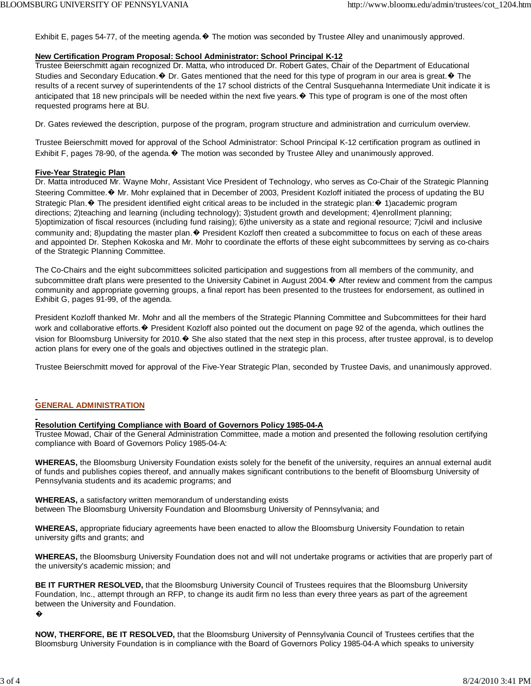Exhibit E, pages 54-77, of the meeting agenda. ♦ The motion was seconded by Trustee Alley and unanimously approved.

## **New Certification Program Proposal: School Administrator: School Principal K-12**

Trustee Beierschmitt again recognized Dr. Matta, who introduced Dr. Robert Gates, Chair of the Department of Educational Studies and Secondary Education.  $\bullet$  Dr. Gates mentioned that the need for this type of program in our area is great.  $\bullet$  The results of a recent survey of superintendents of the 17 school districts of the Central Susquehanna Intermediate Unit indicate it is anticipated that 18 new principals will be needed within the next five years. $\bullet$  This type of program is one of the most often requested programs here at BU.

Dr. Gates reviewed the description, purpose of the program, program structure and administration and curriculum overview.

Trustee Beierschmitt moved for approval of the School Administrator: School Principal K-12 certification program as outlined in Exhibit F, pages 78-90, of the agenda.� The motion was seconded by Trustee Alley and unanimously approved.

### **Five-Year Strategic Plan**

Dr. Matta introduced Mr. Wayne Mohr, Assistant Vice President of Technology, who serves as Co-Chair of the Strategic Planning Steering Committee.� Mr. Mohr explained that in December of 2003, President Kozloff initiated the process of updating the BU Strategic Plan. ♦ The president identified eight critical areas to be included in the strategic plan: ♦ 1)academic program directions; 2)teaching and learning (including technology); 3)student growth and development; 4)enrollment planning; 5)optimization of fiscal resources (including fund raising); 6)the university as a state and regional resource; 7)civil and inclusive community and; 8)updating the master plan. $\bullet$  President Kozloff then created a subcommittee to focus on each of these areas and appointed Dr. Stephen Kokoska and Mr. Mohr to coordinate the efforts of these eight subcommittees by serving as co-chairs of the Strategic Planning Committee.

The Co-Chairs and the eight subcommittees solicited participation and suggestions from all members of the community, and subcommittee draft plans were presented to the University Cabinet in August 2004.  $\blacklozenge$  After review and comment from the campus community and appropriate governing groups, a final report has been presented to the trustees for endorsement, as outlined in Exhibit G, pages 91-99, of the agenda.

President Kozloff thanked Mr. Mohr and all the members of the Strategic Planning Committee and Subcommittees for their hard work and collaborative efforts.  $\bullet$  President Kozloff also pointed out the document on page 92 of the agenda, which outlines the vision for Bloomsburg University for 2010.� She also stated that the next step in this process, after trustee approval, is to develop action plans for every one of the goals and objectives outlined in the strategic plan.

Trustee Beierschmitt moved for approval of the Five-Year Strategic Plan, seconded by Trustee Davis, and unanimously approved.

# **GENERAL ADMINISTRATION**

## **Resolution Certifying Compliance with Board of Governors Policy 1985-04-A**

Trustee Mowad, Chair of the General Administration Committee, made a motion and presented the following resolution certifying compliance with Board of Governors Policy 1985-04-A:

**WHEREAS,** the Bloomsburg University Foundation exists solely for the benefit of the university, requires an annual external audit of funds and publishes copies thereof, and annually makes significant contributions to the benefit of Bloomsburg University of Pennsylvania students and its academic programs; and

**WHEREAS,** a satisfactory written memorandum of understanding exists between The Bloomsburg University Foundation and Bloomsburg University of Pennsylvania; and

**WHEREAS,** appropriate fiduciary agreements have been enacted to allow the Bloomsburg University Foundation to retain university gifts and grants; and

**WHEREAS,** the Bloomsburg University Foundation does not and will not undertake programs or activities that are properly part of the university's academic mission; and

**BE IT FURTHER RESOLVED,** that the Bloomsburg University Council of Trustees requires that the Bloomsburg University Foundation, Inc., attempt through an RFP, to change its audit firm no less than every three years as part of the agreement between the University and Foundation.

�

**NOW, THERFORE, BE IT RESOLVED,** that the Bloomsburg University of Pennsylvania Council of Trustees certifies that the Bloomsburg University Foundation is in compliance with the Board of Governors Policy 1985-04-A which speaks to university